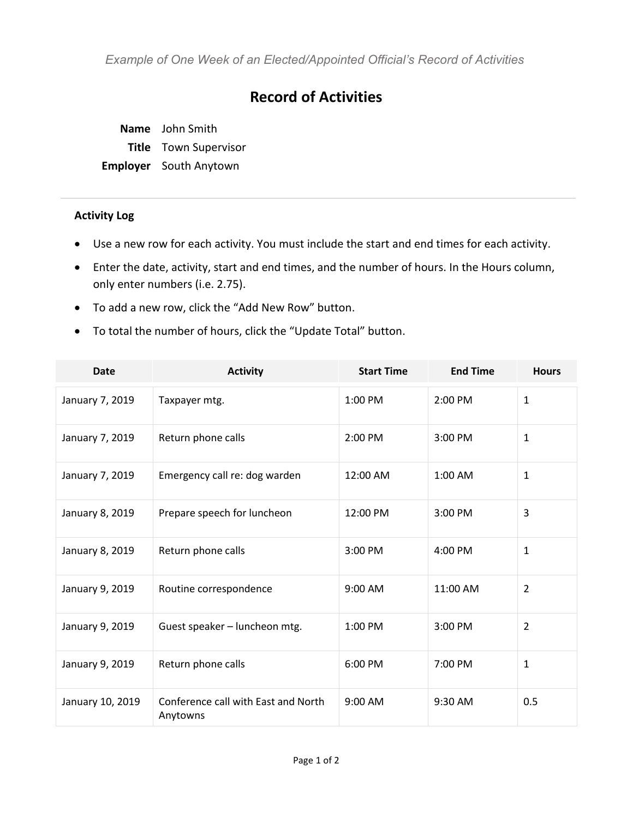*Example of One Week of an Elected/Appointed Official's Record of Activities*

## **Record of Activities**

**Name** John Smith **Title** Town Supervisor **Employer** South Anytown

## **Activity Log**

- Use a new row for each activity. You must include the start and end times for each activity.
- Enter the date, activity, start and end times, and the number of hours. In the Hours column, only enter numbers (i.e. 2.75).
- To add a new row, click the "Add New Row" button.
- To total the number of hours, click the "Update Total" button.

| <b>Date</b>      | <b>Activity</b>                                 | <b>Start Time</b> | <b>End Time</b> | <b>Hours</b>   |
|------------------|-------------------------------------------------|-------------------|-----------------|----------------|
| January 7, 2019  | Taxpayer mtg.                                   | 1:00 PM           | 2:00 PM         | $\mathbf{1}$   |
| January 7, 2019  | Return phone calls                              | 2:00 PM           | 3:00 PM         | $\mathbf{1}$   |
| January 7, 2019  | Emergency call re: dog warden                   | 12:00 AM          | 1:00 AM         | $\mathbf{1}$   |
| January 8, 2019  | Prepare speech for luncheon                     | 12:00 PM          | 3:00 PM         | $\overline{3}$ |
| January 8, 2019  | Return phone calls                              | 3:00 PM           | 4:00 PM         | $\mathbf{1}$   |
| January 9, 2019  | Routine correspondence                          | 9:00 AM           | 11:00 AM        | 2              |
| January 9, 2019  | Guest speaker - luncheon mtg.                   | 1:00 PM           | 3:00 PM         | $\overline{2}$ |
| January 9, 2019  | Return phone calls                              | 6:00 PM           | 7:00 PM         | $\mathbf{1}$   |
| January 10, 2019 | Conference call with East and North<br>Anytowns | 9:00 AM           | 9:30 AM         | 0.5            |